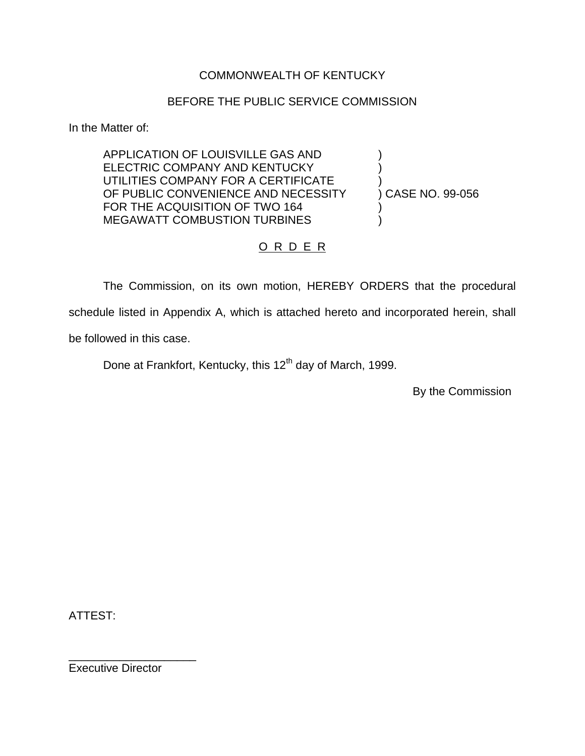### COMMONWEALTH OF KENTUCKY

#### BEFORE THE PUBLIC SERVICE COMMISSION

In the Matter of:

APPLICATION OF LOUISVILLE GAS AND ) ELECTRIC COMPANY AND KENTUCKY UTILITIES COMPANY FOR A CERTIFICATE ) OF PUBLIC CONVENIENCE AND NECESSITY (CASE NO. 99-056) FOR THE ACQUISITION OF TWO 164 MEGAWATT COMBUSTION TURBINES

## O R D E R

The Commission, on its own motion, HEREBY ORDERS that the procedural schedule listed in Appendix A, which is attached hereto and incorporated herein, shall be followed in this case.

Done at Frankfort, Kentucky, this 12<sup>th</sup> day of March, 1999.

By the Commission

ATTEST:

Executive Director

\_\_\_\_\_\_\_\_\_\_\_\_\_\_\_\_\_\_\_\_